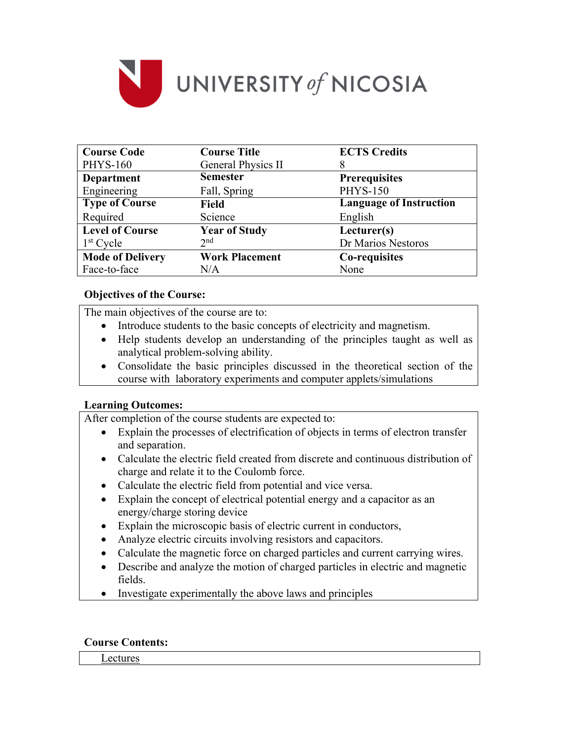

| <b>Course Code</b>      | <b>Course Title</b>   | <b>ECTS Credits</b>            |  |
|-------------------------|-----------------------|--------------------------------|--|
| <b>PHYS-160</b>         | General Physics II    |                                |  |
| <b>Department</b>       | <b>Semester</b>       | <b>Prerequisites</b>           |  |
| Engineering             | Fall, Spring          | <b>PHYS-150</b>                |  |
| <b>Type of Course</b>   | <b>Field</b>          | <b>Language of Instruction</b> |  |
| Required                | Science               | English                        |  |
| <b>Level of Course</b>  | <b>Year of Study</b>  | Lecturer(s)                    |  |
| $1st$ Cycle             | 2 <sub>nd</sub>       | Dr Marios Nestoros             |  |
| <b>Mode of Delivery</b> | <b>Work Placement</b> | Co-requisites                  |  |
| Face-to-face            | N/A                   | None                           |  |

## **Objectives of the Course:**

The main objectives of the course are to:

- Introduce students to the basic concepts of electricity and magnetism.
- Help students develop an understanding of the principles taught as well as analytical problem-solving ability.
- Consolidate the basic principles discussed in the theoretical section of the course with laboratory experiments and computer applets/simulations

### **Learning Outcomes:**

After completion of the course students are expected to:

- Explain the processes of electrification of objects in terms of electron transfer and separation.
- Calculate the electric field created from discrete and continuous distribution of charge and relate it to the Coulomb force.
- Calculate the electric field from potential and vice versa.
- Explain the concept of electrical potential energy and a capacitor as an energy/charge storing device
- Explain the microscopic basis of electric current in conductors,
- Analyze electric circuits involving resistors and capacitors.
- Calculate the magnetic force on charged particles and current carrying wires.
- Describe and analyze the motion of charged particles in electric and magnetic fields.
- Investigate experimentally the above laws and principles

### **Course Contents:**

Lectures